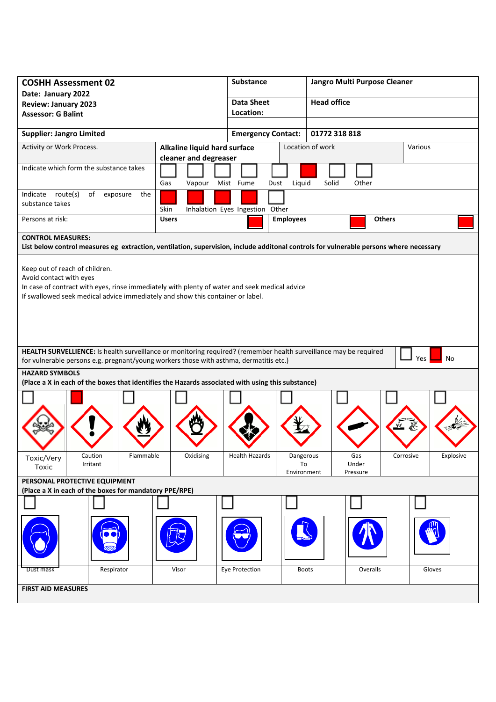| <b>COSHH Assessment 02</b><br>Date: January 2022                                                                                                                                                                                             | <b>Substance</b>          |                                 | Jangro Multi Purpose Cleaner   |                    |                          |               |         |           |
|----------------------------------------------------------------------------------------------------------------------------------------------------------------------------------------------------------------------------------------------|---------------------------|---------------------------------|--------------------------------|--------------------|--------------------------|---------------|---------|-----------|
| <b>Review: January 2023</b>                                                                                                                                                                                                                  |                           | <b>Data Sheet</b>               |                                | <b>Head office</b> |                          |               |         |           |
| <b>Assessor: G Balint</b>                                                                                                                                                                                                                    | Location:                 |                                 |                                |                    |                          |               |         |           |
|                                                                                                                                                                                                                                              |                           |                                 |                                |                    |                          |               |         |           |
| <b>Supplier: Jangro Limited</b>                                                                                                                                                                                                              | <b>Emergency Contact:</b> |                                 | 01772 318 818                  |                    |                          |               |         |           |
| Activity or Work Process.<br>Alkaline liquid hard surface<br>cleaner and degreaser                                                                                                                                                           |                           |                                 |                                | Location of work   |                          |               | Various |           |
| Indicate which form the substance takes                                                                                                                                                                                                      | Gas<br>Vapour             | Mist Fume<br>Dust               | Liquid                         | Solid              | Other                    |               |         |           |
| Indicate route(s)<br>of<br>exposure<br>the<br>substance takes                                                                                                                                                                                | Skin                      | Inhalation Eyes Ingestion Other |                                |                    |                          |               |         |           |
| Persons at risk:                                                                                                                                                                                                                             | <b>Users</b>              |                                 | <b>Employees</b>               |                    |                          | <b>Others</b> |         |           |
| <b>CONTROL MEASURES:</b>                                                                                                                                                                                                                     |                           |                                 |                                |                    |                          |               |         |           |
| List below control measures eg extraction, ventilation, supervision, include additonal controls for vulnerable persons where necessary                                                                                                       |                           |                                 |                                |                    |                          |               |         |           |
| Keep out of reach of children.<br>Avoid contact with eyes<br>In case of contract with eyes, rinse immediately with plenty of water and seek medical advice<br>If swallowed seek medical advice immediately and show this container or label. |                           |                                 |                                |                    |                          |               |         |           |
| HEALTH SURVELLIENCE: Is health surveillance or monitoring required? (remember health surveillance may be required<br><b>Yes</b><br>No<br>for vulnerable persons e.g. pregnant/young workers those with asthma, dermatitis etc.)              |                           |                                 |                                |                    |                          |               |         |           |
| <b>HAZARD SYMBOLS</b><br>(Place a X in each of the boxes that identifies the Hazards associated with using this substance)                                                                                                                   |                           |                                 |                                |                    |                          |               |         |           |
|                                                                                                                                                                                                                                              |                           |                                 |                                |                    |                          |               |         |           |
| Flammable<br>Caution<br>Toxic/Very<br>Irritant<br>Toxic                                                                                                                                                                                      | Oxidising                 | <b>Health Hazards</b>           | Dangerous<br>To<br>Environment |                    | Gas<br>Under<br>Pressure | Corrosive     |         | Explosive |
| PERSONAL PROTECTIVE EQUIPMENT                                                                                                                                                                                                                |                           |                                 |                                |                    |                          |               |         |           |
| (Place a X in each of the boxes for mandatory PPE/RPE)                                                                                                                                                                                       |                           |                                 |                                |                    |                          |               |         |           |
|                                                                                                                                                                                                                                              |                           |                                 |                                |                    |                          |               |         |           |
|                                                                                                                                                                                                                                              |                           |                                 |                                |                    |                          |               |         |           |
| Respirator<br>Dust mask                                                                                                                                                                                                                      | Visor                     | Eye Protection                  | <b>Boots</b>                   |                    | Overalls                 |               |         | Gloves    |
| <b>FIRST AID MEASURES</b>                                                                                                                                                                                                                    |                           |                                 |                                |                    |                          |               |         |           |